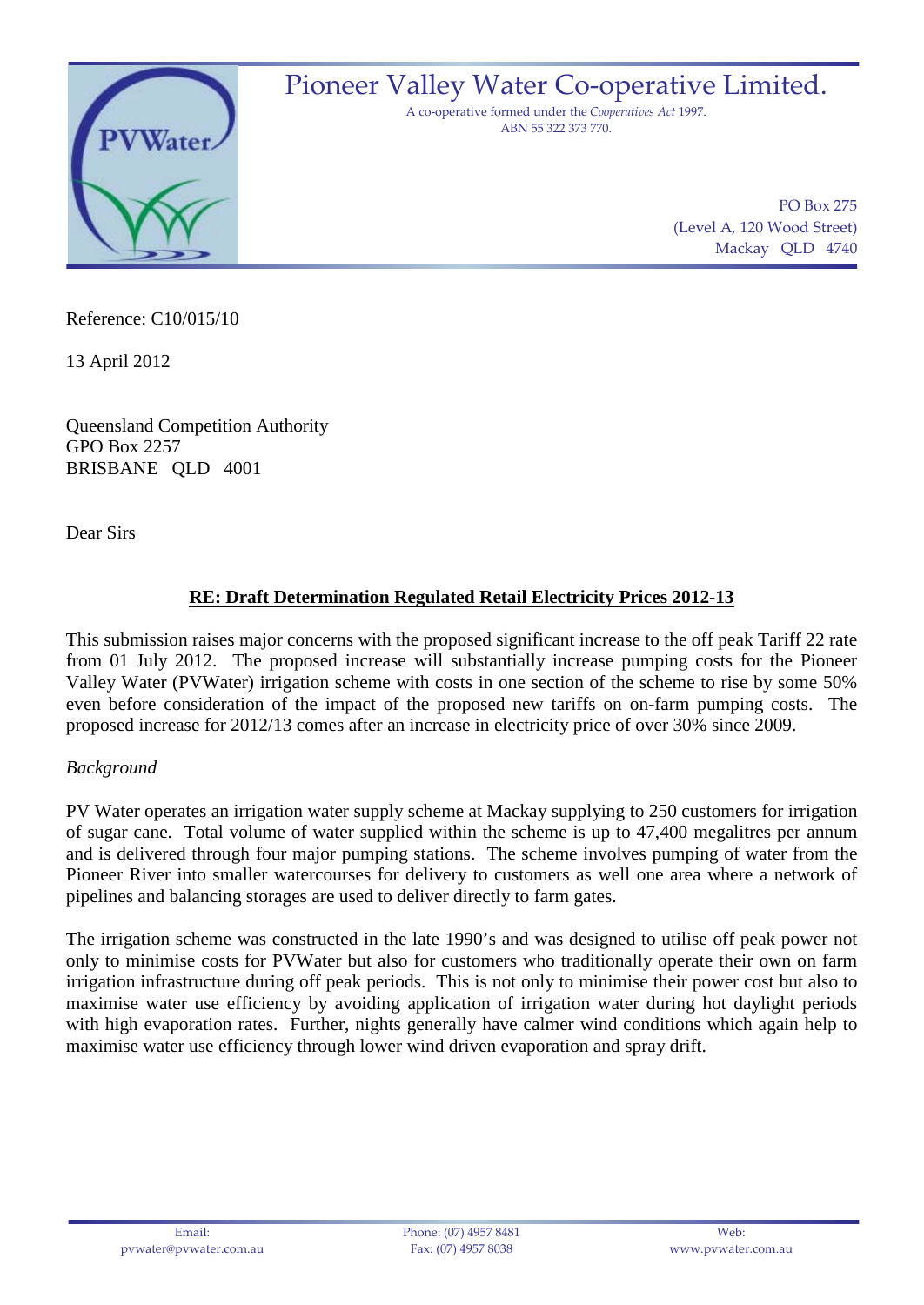

PO Box 275 (Level A, 120 Wood Street) Mackay QLD 4740

Reference: C10/015/10

13 April 2012

Queensland Competition Authority GPO Box 2257 BRISBANE QLD 4001

Dear Sirs

# **RE: Draft Determination Regulated Retail Electricity Prices 2012-13**

This submission raises major concerns with the proposed significant increase to the off peak Tariff 22 rate from 01 July 2012. The proposed increase will substantially increase pumping costs for the Pioneer Valley Water (PVWater) irrigation scheme with costs in one section of the scheme to rise by some 50% even before consideration of the impact of the proposed new tariffs on on-farm pumping costs. The proposed increase for 2012/13 comes after an increase in electricity price of over 30% since 2009.

### *Background*

PV Water operates an irrigation water supply scheme at Mackay supplying to 250 customers for irrigation of sugar cane. Total volume of water supplied within the scheme is up to 47,400 megalitres per annum and is delivered through four major pumping stations. The scheme involves pumping of water from the Pioneer River into smaller watercourses for delivery to customers as well one area where a network of pipelines and balancing storages are used to deliver directly to farm gates.

The irrigation scheme was constructed in the late 1990's and was designed to utilise off peak power not only to minimise costs for PVWater but also for customers who traditionally operate their own on farm irrigation infrastructure during off peak periods. This is not only to minimise their power cost but also to maximise water use efficiency by avoiding application of irrigation water during hot daylight periods with high evaporation rates. Further, nights generally have calmer wind conditions which again help to maximise water use efficiency through lower wind driven evaporation and spray drift.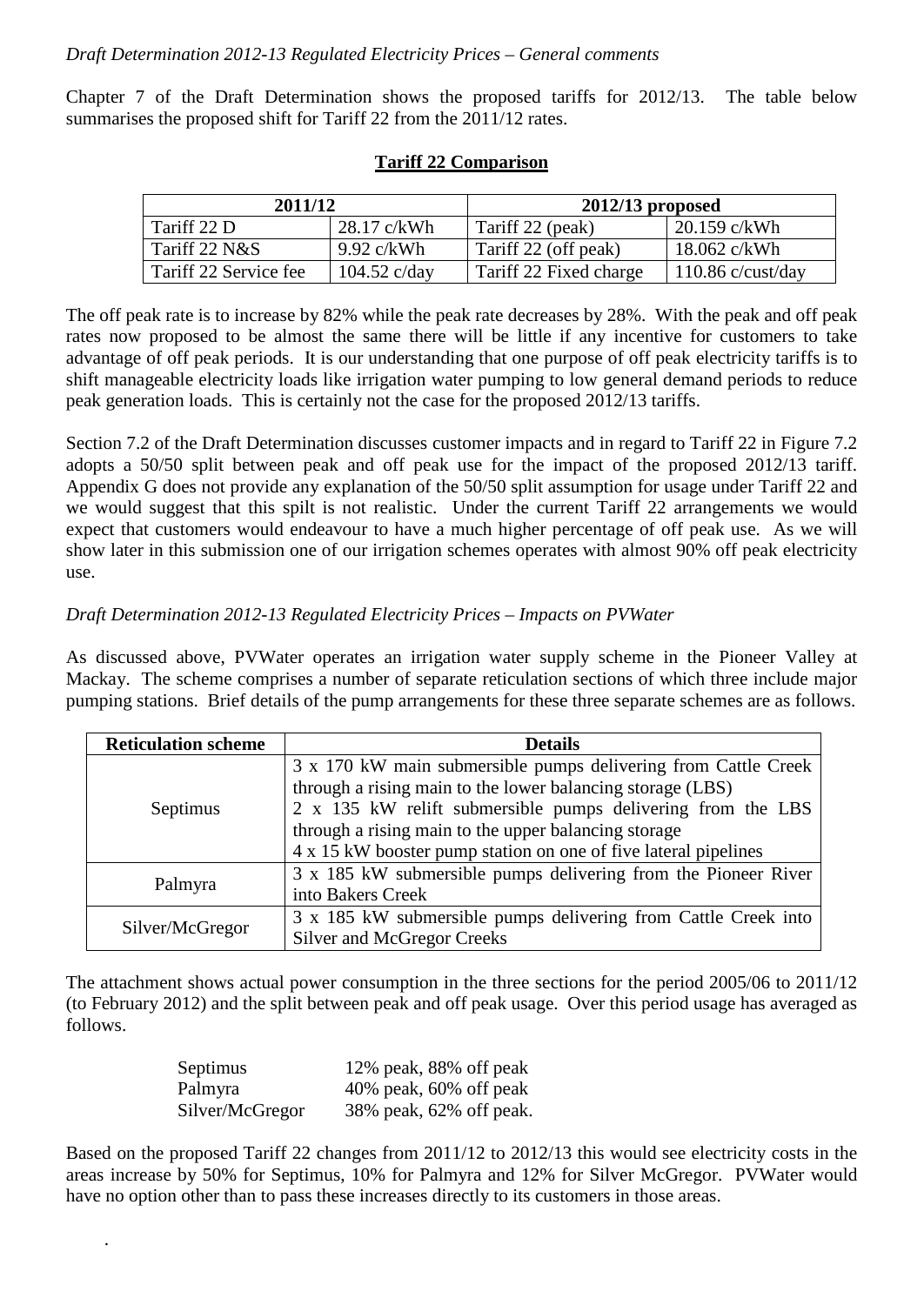Chapter 7 of the Draft Determination shows the proposed tariffs for 2012/13. The table below summarises the proposed shift for Tariff 22 from the 2011/12 rates.

| 2011/12               |                        | $2012/13$ proposed     |                     |
|-----------------------|------------------------|------------------------|---------------------|
| Tariff 22 D           | 28.17 c/kWh            | Tariff 22 (peak)       | $20.159$ c/kWh      |
| Tariff $22$ N&S       | $9.92 \text{ c/kWh}$   | Tariff 22 (off peak)   | 18.062 c/kWh        |
| Tariff 22 Service fee | $104.52 \text{ c/day}$ | Tariff 22 Fixed charge | $110.86$ c/cust/day |

#### **Tariff 22 Comparison**

The off peak rate is to increase by 82% while the peak rate decreases by 28%. With the peak and off peak rates now proposed to be almost the same there will be little if any incentive for customers to take advantage of off peak periods. It is our understanding that one purpose of off peak electricity tariffs is to shift manageable electricity loads like irrigation water pumping to low general demand periods to reduce peak generation loads. This is certainly not the case for the proposed 2012/13 tariffs.

Section 7.2 of the Draft Determination discusses customer impacts and in regard to Tariff 22 in Figure 7.2 adopts a 50/50 split between peak and off peak use for the impact of the proposed 2012/13 tariff. Appendix G does not provide any explanation of the 50/50 split assumption for usage under Tariff 22 and we would suggest that this spilt is not realistic. Under the current Tariff 22 arrangements we would expect that customers would endeavour to have a much higher percentage of off peak use. As we will show later in this submission one of our irrigation schemes operates with almost 90% off peak electricity use.

#### *Draft Determination 2012-13 Regulated Electricity Prices – Impacts on PVWater*

As discussed above, PVWater operates an irrigation water supply scheme in the Pioneer Valley at Mackay. The scheme comprises a number of separate reticulation sections of which three include major pumping stations. Brief details of the pump arrangements for these three separate schemes are as follows.

| <b>Reticulation scheme</b> | <b>Details</b>                                                  |  |  |
|----------------------------|-----------------------------------------------------------------|--|--|
| Septimus                   | 3 x 170 kW main submersible pumps delivering from Cattle Creek  |  |  |
|                            | through a rising main to the lower balancing storage (LBS)      |  |  |
|                            | 2 x 135 kW relift submersible pumps delivering from the LBS     |  |  |
|                            | through a rising main to the upper balancing storage            |  |  |
|                            | 4 x 15 kW booster pump station on one of five lateral pipelines |  |  |
| Palmyra                    | 3 x 185 kW submersible pumps delivering from the Pioneer River  |  |  |
|                            | into Bakers Creek                                               |  |  |
| Silver/McGregor            | 3 x 185 kW submersible pumps delivering from Cattle Creek into  |  |  |
|                            | Silver and McGregor Creeks                                      |  |  |

The attachment shows actual power consumption in the three sections for the period 2005/06 to 2011/12 (to February 2012) and the split between peak and off peak usage. Over this period usage has averaged as follows.

| Septimus        | 12% peak, 88% off peak    |
|-----------------|---------------------------|
| Palmyra         | $40\%$ peak, 60% off peak |
| Silver/McGregor | 38% peak, 62% off peak.   |

.

Based on the proposed Tariff 22 changes from 2011/12 to 2012/13 this would see electricity costs in the areas increase by 50% for Septimus, 10% for Palmyra and 12% for Silver McGregor. PVWater would have no option other than to pass these increases directly to its customers in those areas.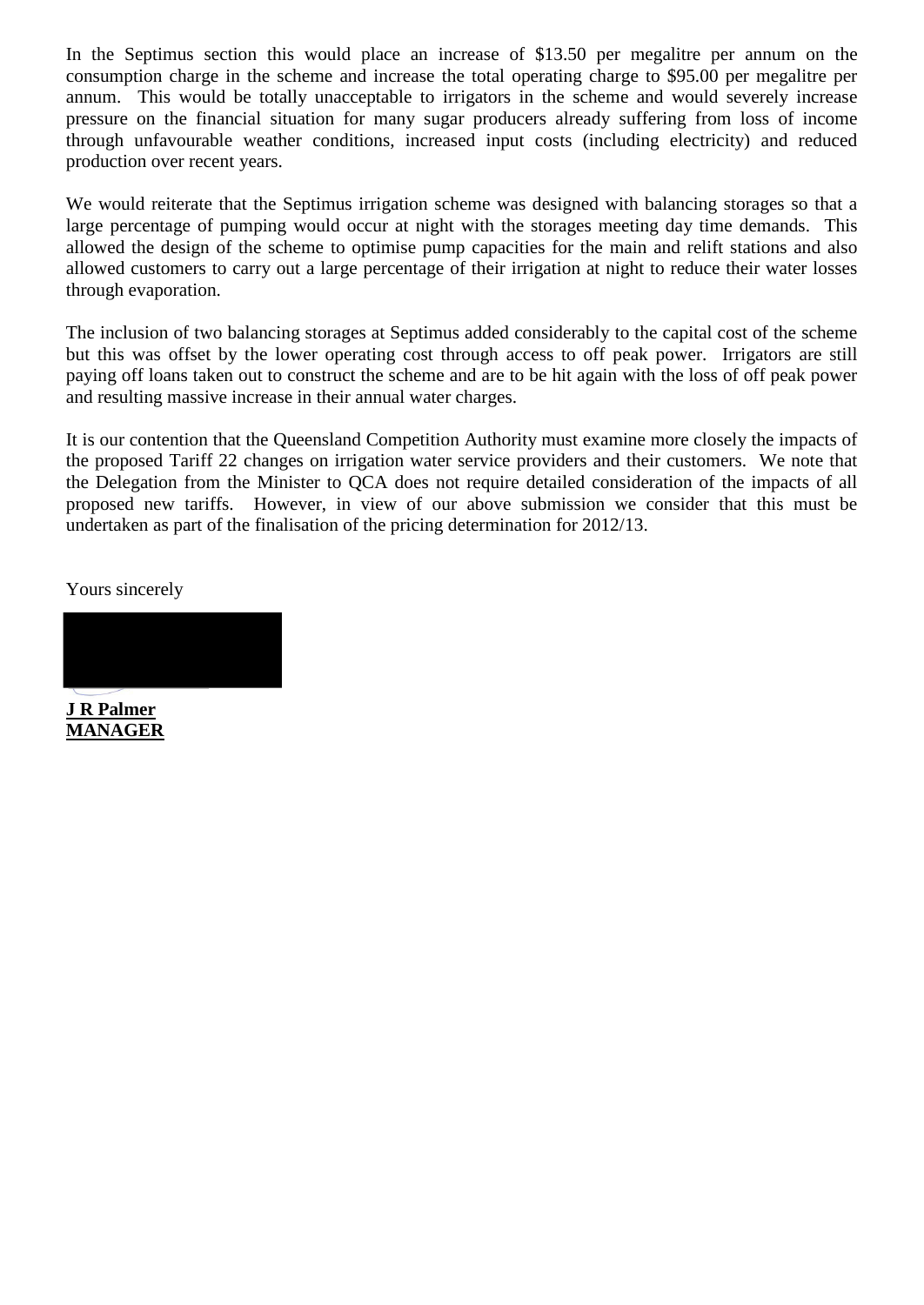In the Septimus section this would place an increase of \$13.50 per megalitre per annum on the consumption charge in the scheme and increase the total operating charge to \$95.00 per megalitre per annum. This would be totally unacceptable to irrigators in the scheme and would severely increase pressure on the financial situation for many sugar producers already suffering from loss of income through unfavourable weather conditions, increased input costs (including electricity) and reduced production over recent years.

We would reiterate that the Septimus irrigation scheme was designed with balancing storages so that a large percentage of pumping would occur at night with the storages meeting day time demands. This allowed the design of the scheme to optimise pump capacities for the main and relift stations and also allowed customers to carry out a large percentage of their irrigation at night to reduce their water losses through evaporation.

The inclusion of two balancing storages at Septimus added considerably to the capital cost of the scheme but this was offset by the lower operating cost through access to off peak power. Irrigators are still paying off loans taken out to construct the scheme and are to be hit again with the loss of off peak power and resulting massive increase in their annual water charges.

It is our contention that the Queensland Competition Authority must examine more closely the impacts of the proposed Tariff 22 changes on irrigation water service providers and their customers. We note that the Delegation from the Minister to QCA does not require detailed consideration of the impacts of all proposed new tariffs. However, in view of our above submission we consider that this must be undertaken as part of the finalisation of the pricing determination for 2012/13.

Yours sincerely



**J R Palmer MANAGER**